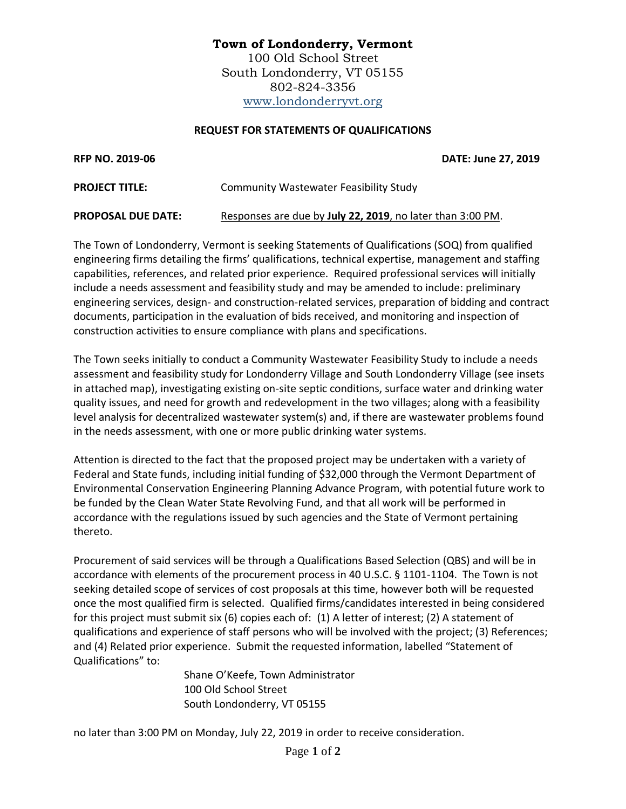## **Town of Londonderry, Vermont** 100 Old School Street South Londonderry, VT 05155 802-824-3356 [www.londonderryvt.org](http://www.londonderryvt.org/)

## **REQUEST FOR STATEMENTS OF QUALIFICATIONS**

**RFP NO. 2019-06 DATE: June 27, 2019**

| <b>PROJECT TITLE:</b>     | Community Wastewater Feasibility Study                     |
|---------------------------|------------------------------------------------------------|
| <b>PROPOSAL DUE DATE:</b> | Responses are due by July 22, 2019, no later than 3:00 PM. |

The Town of Londonderry, Vermont is seeking Statements of Qualifications (SOQ) from qualified engineering firms detailing the firms' qualifications, technical expertise, management and staffing capabilities, references, and related prior experience. Required professional services will initially include a needs assessment and feasibility study and may be amended to include: preliminary engineering services, design- and construction-related services, preparation of bidding and contract documents, participation in the evaluation of bids received, and monitoring and inspection of construction activities to ensure compliance with plans and specifications.

The Town seeks initially to conduct a Community Wastewater Feasibility Study to include a needs assessment and feasibility study for Londonderry Village and South Londonderry Village (see insets in attached map), investigating existing on-site septic conditions, surface water and drinking water quality issues, and need for growth and redevelopment in the two villages; along with a feasibility level analysis for decentralized wastewater system(s) and, if there are wastewater problems found in the needs assessment, with one or more public drinking water systems.

Attention is directed to the fact that the proposed project may be undertaken with a variety of Federal and State funds, including initial funding of \$32,000 through the Vermont Department of Environmental Conservation Engineering Planning Advance Program, with potential future work to be funded by the Clean Water State Revolving Fund, and that all work will be performed in accordance with the regulations issued by such agencies and the State of Vermont pertaining thereto.

Procurement of said services will be through a Qualifications Based Selection (QBS) and will be in accordance with elements of the procurement process in 40 U.S.C. § 1101-1104. The Town is not seeking detailed scope of services of cost proposals at this time, however both will be requested once the most qualified firm is selected. Qualified firms/candidates interested in being considered for this project must submit six (6) copies each of: (1) A letter of interest; (2) A statement of qualifications and experience of staff persons who will be involved with the project; (3) References; and (4) Related prior experience. Submit the requested information, labelled "Statement of Qualifications" to:

> Shane O'Keefe, Town Administrator 100 Old School Street South Londonderry, VT 05155

no later than 3:00 PM on Monday, July 22, 2019 in order to receive consideration.